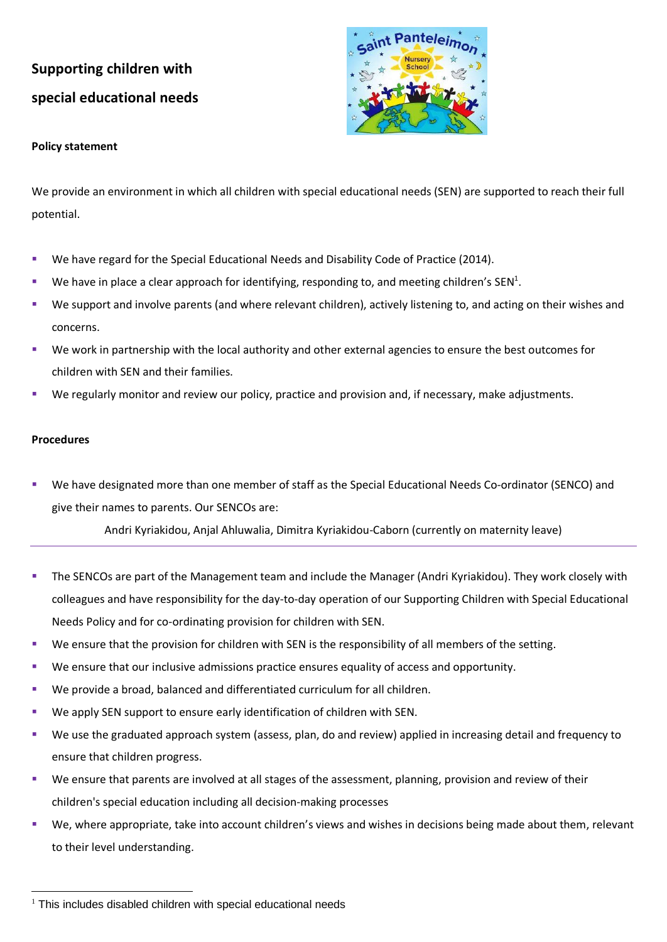# **Supporting children with special educational needs**



### **Policy statement**

We provide an environment in which all children with special educational needs (SEN) are supported to reach their full potential.

- We have regard for the Special Educational Needs and Disability Code of Practice (2014).
- **■** We have in place a clear approach for identifying, responding to, and meeting children's SEN<sup>1</sup>.
- We support and involve parents (and where relevant children), actively listening to, and acting on their wishes and concerns.
- We work in partnership with the local authority and other external agencies to ensure the best outcomes for children with SEN and their families.
- We regularly monitor and review our policy, practice and provision and, if necessary, make adjustments.

#### **Procedures**

We have designated more than one member of staff as the Special Educational Needs Co-ordinator (SENCO) and give their names to parents. Our SENCOs are:

Andri Kyriakidou, Anjal Ahluwalia, Dimitra Kyriakidou-Caborn (currently on maternity leave)

- The SENCOs are part of the Management team and include the Manager (Andri Kyriakidou). They work closely with colleagues and have responsibility for the day-to-day operation of our Supporting Children with Special Educational Needs Policy and for co-ordinating provision for children with SEN.
- We ensure that the provision for children with SEN is the responsibility of all members of the setting.
- We ensure that our inclusive admissions practice ensures equality of access and opportunity.
- We provide a broad, balanced and differentiated curriculum for all children.
- We apply SEN support to ensure early identification of children with SEN.
- We use the graduated approach system (assess, plan, do and review) applied in increasing detail and frequency to ensure that children progress.
- We ensure that parents are involved at all stages of the assessment, planning, provision and review of their children's special education including all decision-making processes
- We, where appropriate, take into account children's views and wishes in decisions being made about them, relevant to their level understanding.

 $1$  This includes disabled children with special educational needs